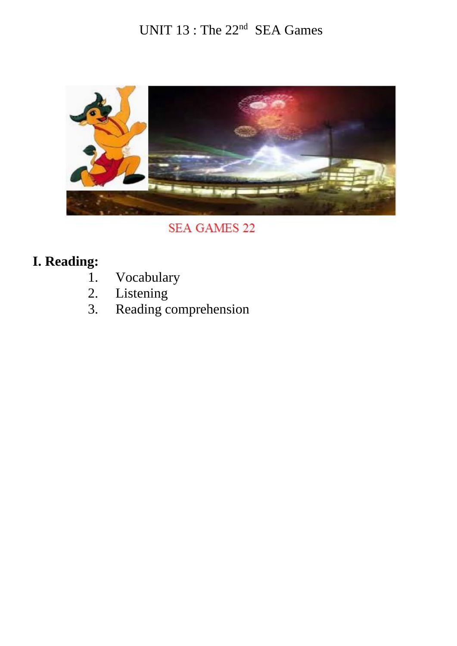## UNIT 13 : The 22<sup>nd</sup> SEA Games



**SEA GAMES 22** 

# **I. Reading:**

- 1. Vocabulary<br>2. Listening
- 2. Listening<br>3. Reading c
- Reading comprehension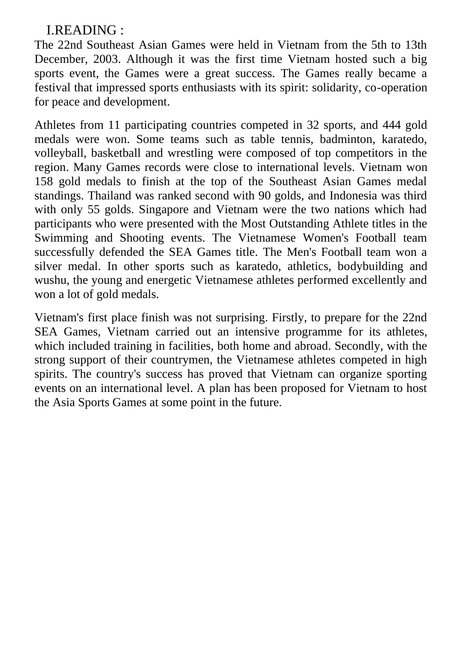### I.READING :

The 22nd Southeast Asian Games were held in Vietnam from the 5th to 13th December, 2003. Although it was the first time Vietnam hosted such a big sports event, the Games were a great success. The Games really became a festival that impressed sports enthusiasts with its spirit: solidarity, co-operation for peace and development.

Athletes from 11 participating countries competed in 32 sports, and 444 gold medals were won. Some teams such as table tennis, badminton, karatedo, volleyball, basketball and wrestling were composed of top competitors in the region. Many Games records were close to international levels. Vietnam won 158 gold medals to finish at the top of the Southeast Asian Games medal standings. Thailand was ranked second with 90 golds, and Indonesia was third with only 55 golds. Singapore and Vietnam were the two nations which had participants who were presented with the Most Outstanding Athlete titles in the Swimming and Shooting events. The Vietnamese Women's Football team successfully defended the SEA Games title. The Men's Football team won a silver medal. In other sports such as karatedo, athletics, bodybuilding and wushu, the young and energetic Vietnamese athletes performed excellently and won a lot of gold medals.

Vietnam's first place finish was not surprising. Firstly, to prepare for the 22nd SEA Games, Vietnam carried out an intensive programme for its athletes, which included training in facilities, both home and abroad. Secondly, with the strong support of their countrymen, the Vietnamese athletes competed in high spirits. The country's success has proved that Vietnam can organize sporting events on an international level. A plan has been proposed for Vietnam to host the Asia Sports Games at some point in the future.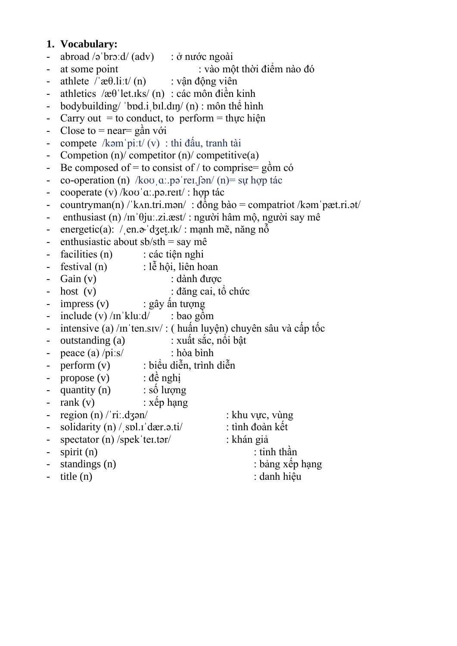#### **1. Vocabulary:**

- abroad  $\sqrt{2}$  bro:d/ (adv) : ở nước ngoài
- at some point : vào một thời điểm nào đó
- athlete  $/\text{Re}(ln)$  : vân đông viên
- athletics / $\alpha$ θ'let.iks/ (n) : các môn điền kinh
- bodybuilding/ 'bod.i bil.din/ (n) : môn thể hình
- Carry out  $=$  to conduct, to perform  $=$  thus hiện
- Close to  $=$  near= gần với
- compete /kəmˈpiːt/ (v) : thi đấu, tranh tài
- Competion (n)/ competitor (n)/ competitive(a)
- Be composed of = to consist of / to comprise=  $g\hat{o}$ m có
- co-operation (n) /koʊˌɑː.pəˈreɪ.fən/ (n) = sư hợp tác
- cooperate (v) /koʊˈɑː.pə.reɪt/ : hợp tác
- countryman(n) / kʌn.tri.mən/ : đồng bào = compatriot /kəm pæt.ri.ət/
- enthusiast (n) / $\ln \theta$ ju $\pi$ .zi.æst/ : người hâm mộ, người say mê
- energetic(a): / en. $\phi$  dzet<sub>rik</sub>/ : mạnh mẽ, năng nỗ
- enthusiastic about  $sb/sth = say me$
- facilities (n) : các tiện nghi
- $festival(n)$ : lễ hội, liên hoan
- Gain (v) : dành được
- host (v) : đăng cai, tổ chức
- impress (v) : gây ấn tượng
- include  $(v)$  /m klu:d/ : bao gồm
- intensive (a) /in ten.siv/ : ( huấn luyện) chuyên sâu và cấp tốc
- outstanding (a) : xuất sắc, nổi bật
- peace (a) /piːs/ : hòa bình
- perform (v) : biểu diễn, trình diễn
- propose (v) : đề nghị
- quantity  $(n)$  : số lượng
- $-$  rank (v)  $\therefore$  xếp hạng
- region (n) / riː.dʒən/ : khu vực, vùng
- solidarity  $(n)$  / spl.  $d$ ær.  $\theta$ . ti $i$  : tình đoàn kết
- spectator (n) /spek 'teɪ.tər/ : khán giả
- spirit (n) : tinh thần
- 
- 
- 
- 
- -
- standings (n) : bảng xếp hạng
- title (n) : danh hiệu